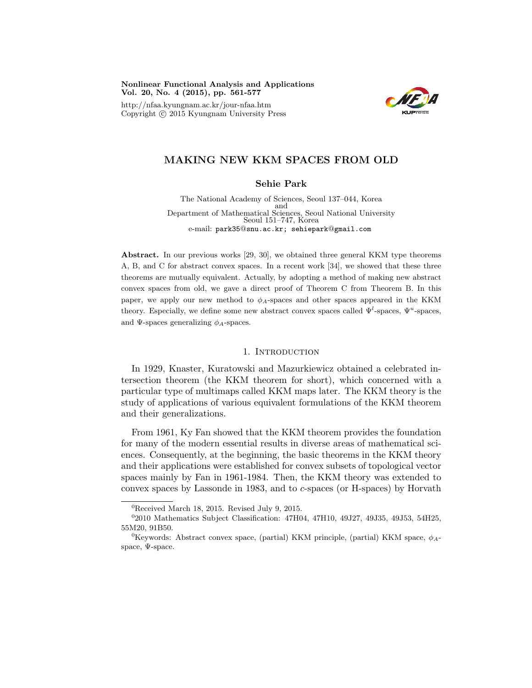Nonlinear Functional Analysis and Applications Vol. 20, No. 4 (2015), pp. 561-577

http://nfaa.kyungnam.ac.kr/jour-nfaa.htm Copyright  $\odot$  2015 Kyungnam University Press



# MAKING NEW KKM SPACES FROM OLD

## Sehie Park

The National Academy of Sciences, Seoul 137–044, Korea and Department of Mathematical Sciences, Seoul National University Seoul 151–747, Korea e-mail: park35@snu.ac.kr; sehiepark@gmail.com

Abstract. In our previous works [29, 30], we obtained three general KKM type theorems A, B, and C for abstract convex spaces. In a recent work [34], we showed that these three theorems are mutually equivalent. Actually, by adopting a method of making new abstract convex spaces from old, we gave a direct proof of Theorem C from Theorem B. In this paper, we apply our new method to  $\phi_A$ -spaces and other spaces appeared in the KKM theory. Especially, we define some new abstract convex spaces called  $\Psi^l$ -spaces,  $\Psi^u$ -spaces, and  $\Psi$ -spaces generalizing  $\phi_A$ -spaces.

#### 1. INTRODUCTION

In 1929, Knaster, Kuratowski and Mazurkiewicz obtained a celebrated intersection theorem (the KKM theorem for short), which concerned with a particular type of multimaps called KKM maps later. The KKM theory is the study of applications of various equivalent formulations of the KKM theorem and their generalizations.

From 1961, Ky Fan showed that the KKM theorem provides the foundation for many of the modern essential results in diverse areas of mathematical sciences. Consequently, at the beginning, the basic theorems in the KKM theory and their applications were established for convex subsets of topological vector spaces mainly by Fan in 1961-1984. Then, the KKM theory was extended to convex spaces by Lassonde in 1983, and to c-spaces (or H-spaces) by Horvath

<sup>0</sup>Received March 18, 2015. Revised July 9, 2015.

<sup>0</sup> 2010 Mathematics Subject Classification: 47H04, 47H10, 49J27, 49J35, 49J53, 54H25, 55M20, 91B50.

 ${}^{0}$ Keywords: Abstract convex space, (partial) KKM principle, (partial) KKM space,  $\phi_{A}$ space, Ψ-space.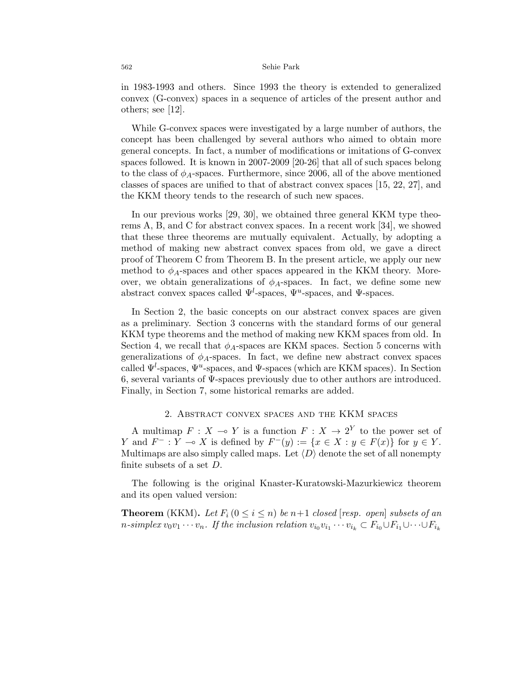in 1983-1993 and others. Since 1993 the theory is extended to generalized convex (G-convex) spaces in a sequence of articles of the present author and others; see [12].

While G-convex spaces were investigated by a large number of authors, the concept has been challenged by several authors who aimed to obtain more general concepts. In fact, a number of modifications or imitations of G-convex spaces followed. It is known in 2007-2009 [20-26] that all of such spaces belong to the class of  $\phi_A$ -spaces. Furthermore, since 2006, all of the above mentioned classes of spaces are unified to that of abstract convex spaces [15, 22, 27], and the KKM theory tends to the research of such new spaces.

In our previous works [29, 30], we obtained three general KKM type theorems A, B, and C for abstract convex spaces. In a recent work [34], we showed that these three theorems are mutually equivalent. Actually, by adopting a method of making new abstract convex spaces from old, we gave a direct proof of Theorem C from Theorem B. In the present article, we apply our new method to  $\phi_A$ -spaces and other spaces appeared in the KKM theory. Moreover, we obtain generalizations of  $\phi_A$ -spaces. In fact, we define some new abstract convex spaces called  $\Psi^l$ -spaces,  $\Psi^u$ -spaces, and  $\Psi$ -spaces.

In Section 2, the basic concepts on our abstract convex spaces are given as a preliminary. Section 3 concerns with the standard forms of our general KKM type theorems and the method of making new KKM spaces from old. In Section 4, we recall that  $\phi_A$ -spaces are KKM spaces. Section 5 concerns with generalizations of  $\phi_A$ -spaces. In fact, we define new abstract convex spaces called  $\Psi^l$ -spaces,  $\Psi^u$ -spaces, and  $\Psi$ -spaces (which are KKM spaces). In Section 6, several variants of Ψ-spaces previously due to other authors are introduced. Finally, in Section 7, some historical remarks are added.

### 2. Abstract convex spaces and the KKM spaces

A multimap  $F : X \to Y$  is a function  $F : X \to 2^Y$  to the power set of Y and  $F^-: Y \multimap X$  is defined by  $F^-(y) := \{x \in X : y \in F(x)\}$  for  $y \in Y$ . Multimaps are also simply called maps. Let  $\langle D \rangle$  denote the set of all nonempty finite subsets of a set D.

The following is the original Knaster-Kuratowski-Mazurkiewicz theorem and its open valued version:

**Theorem** (KKM). Let  $F_i$  ( $0 \le i \le n$ ) be  $n+1$  closed [resp. open] subsets of an *n*-simplex  $v_0v_1 \cdots v_n$ . If the inclusion relation  $v_{i_0}v_{i_1} \cdots v_{i_k} \subset F_{i_0} \cup F_{i_1} \cup \cdots \cup F_{i_k}$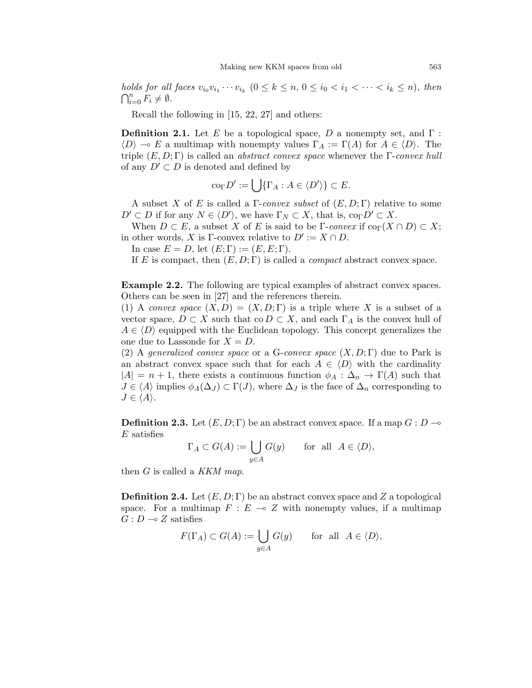holds for all faces  $v_{i_0}v_{i_1}\cdots v_{i_k}$   $(0 \le k \le n, 0 \le i_0 < i_1 < \cdots < i_k \le n)$ , then  $\bigcap_{i=0}^n \overline{F}_i \neq \emptyset$ .

Recall the following in [15, 22, 27] and others:

**Definition 2.1.** Let E be a topological space, D a nonempty set, and  $\Gamma$ :  $\langle D \rangle \to E$  a multimap with nonempty values  $\Gamma_A := \Gamma(A)$  for  $A \in \langle D \rangle$ . The triple  $(E, D; \Gamma)$  is called an *abstract convex space* whenever the Γ-*convex hull* of any  $D' \subset D$  is denoted and defined by

$$
\mathrm{co}_{\Gamma}D':=\bigcup\{\Gamma_A:A\in\langle D'\rangle\}\subset E.
$$

A subset X of E is called a  $\Gamma$ -convex subset of  $(E, D; \Gamma)$  relative to some  $D' \subset D$  if for any  $N \in \langle D' \rangle$ , we have  $\Gamma_N \subset X$ , that is,  $\text{co}_{\Gamma} D' \subset X$ .

When  $D \subset E$ , a subset X of E is said to be Γ-convex if  $\text{co}_{\Gamma}(X \cap D) \subset X$ ; in other words, X is Γ-convex relative to  $D' := X \cap D$ .

In case  $E = D$ , let  $(E; \Gamma) := (E, E; \Gamma)$ .

If E is compact, then  $(E, D; \Gamma)$  is called a *compact* abstract convex space.

Example 2.2. The following are typical examples of abstract convex spaces. Others can be seen in [27] and the references therein.

(1) A convex space  $(X, D) = (X, D; \Gamma)$  is a triple where X is a subset of a vector space,  $D \subset X$  such that co  $D \subset X$ , and each  $\Gamma_A$  is the convex hull of  $A \in \langle D \rangle$  equipped with the Euclidean topology. This concept generalizes the one due to Lassonde for  $X = D$ .

(2) A generalized convex space or a G-convex space  $(X, D; \Gamma)$  due to Park is an abstract convex space such that for each  $A \in \langle D \rangle$  with the cardinality  $|A| = n + 1$ , there exists a continuous function  $\phi_A : \Delta_n \to \Gamma(A)$  such that  $J \in \langle A \rangle$  implies  $\phi_A(\Delta_J) \subset \Gamma(J)$ , where  $\Delta_J$  is the face of  $\Delta_n$  corresponding to  $J \in \langle A \rangle$ .

**Definition 2.3.** Let  $(E, D; \Gamma)$  be an abstract convex space. If a map  $G: D \rightarrow$  $E$  satisfies

$$
\Gamma_A \subset G(A) := \bigcup_{y \in A} G(y) \quad \text{for all } A \in \langle D \rangle,
$$

then  $G$  is called a KKM map.

**Definition 2.4.** Let  $(E, D; \Gamma)$  be an abstract convex space and Z a topological space. For a multimap  $F : E \multimap Z$  with nonempty values, if a multimap  $G : D \longrightarrow Z$  satisfies

$$
F(\Gamma_A) \subset G(A) := \bigcup_{y \in A} G(y) \quad \text{for all } A \in \langle D \rangle,
$$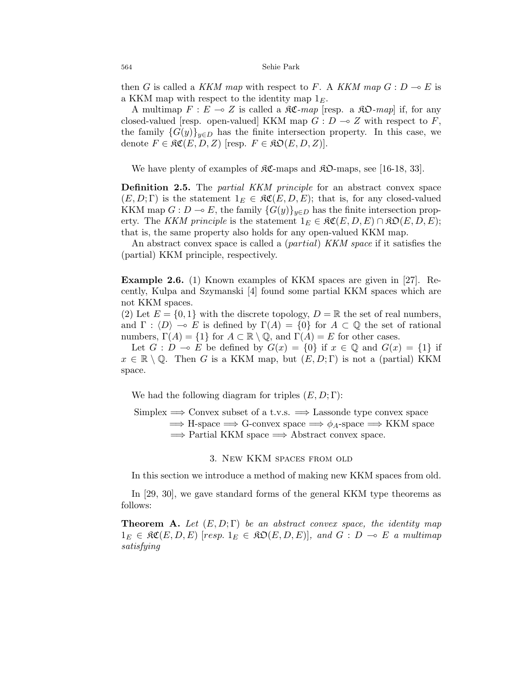then G is called a KKM map with respect to F. A KKM map  $G: D \to E$  is a KKM map with respect to the identity map  $1<sub>E</sub>$ .

A multimap  $F : E \multimap Z$  is called a  $\Re \mathfrak{C}$ -map [resp. a  $\Re \mathfrak{D}$ -map] if, for any closed-valued [resp. open-valued] KKM map  $G: D \to Z$  with respect to F, the family  ${G(y)}_{y\in D}$  has the finite intersection property. In this case, we denote  $F \in \mathfrak{RC}(E, D, Z)$  [resp.  $F \in \mathfrak{RO}(E, D, Z)$ ].

We have plenty of examples of  $\mathcal{RC}\text{-maps}$  and  $\mathcal{RD}\text{-maps}$ , see [16-18, 33].

Definition 2.5. The *partial KKM principle* for an abstract convex space  $(E, D; \Gamma)$  is the statement  $1_E \in \mathfrak{RC}(E, D, E)$ ; that is, for any closed-valued KKM map  $G: D \to E$ , the family  ${G(y)}_{y\in D}$  has the finite intersection property. The KKM principle is the statement  $1_E \in \mathfrak{RC}(E,D,E) \cap \mathfrak{RO}(E,D,E);$ that is, the same property also holds for any open-valued KKM map.

An abstract convex space is called a *(partial) KKM space* if it satisfies the (partial) KKM principle, respectively.

Example 2.6. (1) Known examples of KKM spaces are given in [27]. Recently, Kulpa and Szymanski [4] found some partial KKM spaces which are not KKM spaces.

(2) Let  $E = \{0, 1\}$  with the discrete topology,  $D = \mathbb{R}$  the set of real numbers, and  $\Gamma : \langle D \rangle \to E$  is defined by  $\Gamma(A) = \{0\}$  for  $A \subset \mathbb{Q}$  the set of rational numbers,  $\Gamma(A) = \{1\}$  for  $A \subset \mathbb{R} \setminus \mathbb{Q}$ , and  $\Gamma(A) = E$  for other cases.

Let  $G : D \multimap E$  be defined by  $G(x) = \{0\}$  if  $x \in \mathbb{Q}$  and  $G(x) = \{1\}$  if  $x \in \mathbb{R} \setminus \mathbb{Q}$ . Then G is a KKM map, but  $(E, D; \Gamma)$  is not a (partial) KKM space.

We had the following diagram for triples  $(E, D; \Gamma)$ :

Simplex  $\implies$  Convex subset of a t.v.s.  $\implies$  Lassonde type convex space  $\implies$  H-space  $\implies$  G-convex space  $\implies \phi_A$ -space  $\implies$  KKM space  $\Rightarrow$  Partial KKM space  $\Rightarrow$  Abstract convex space.

3. New KKM spaces from old

In this section we introduce a method of making new KKM spaces from old.

In [29, 30], we gave standard forms of the general KKM type theorems as follows:

**Theorem A.** Let  $(E, D; \Gamma)$  be an abstract convex space, the identity map  $1_E \in \mathfrak{RC}(E, D, E)$  [resp.  $1_E \in \mathfrak{RO}(E, D, E)$ ], and  $G : D \multimap E$  a multimap satisfying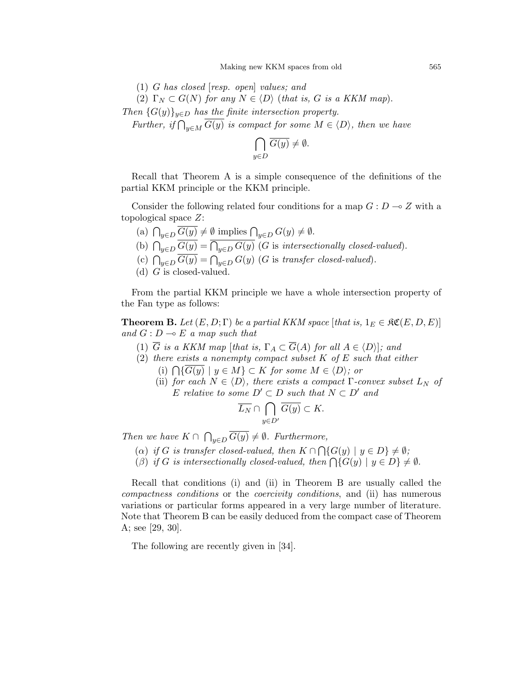(1) G has closed [resp. open] values; and (2)  $\Gamma_N \subset G(N)$  for any  $N \in \langle D \rangle$  (that is, G is a KKM map). Then  $\{G(y)\}_{y\in D}$  has the finite intersection property.

Further, if  $\bigcap_{y\in M} G(y)$  is compact for some  $M \in \langle D \rangle$ , then we have

$$
\bigcap_{y \in D} \overline{G(y)} \neq \emptyset.
$$

Recall that Theorem A is a simple consequence of the definitions of the partial KKM principle or the KKM principle.

Consider the following related four conditions for a map  $G: D \to Z$  with a topological space Z:

- (a)  $\bigcap_{y\in D} G(y) \neq \emptyset$  implies  $\bigcap_{y\in D} G(y) \neq \emptyset$ .
- (b)  $\bigcap_{y\in D} G(y) = \bigcap_{y\in D} G(y)$  (G is intersectionally closed-valued).
- (c)  $\bigcap_{y\in D} G(y) = \bigcap_{y\in D} G(y)$  (G is transfer closed-valued).
- (d)  $G$  is closed-valued.

From the partial KKM principle we have a whole intersection property of the Fan type as follows:

**Theorem B.** Let  $(E, D; \Gamma)$  be a partial KKM space [that is,  $1_E \in \mathfrak{RC}(E, D, E)$ ] and  $G: D \multimap E$  a map such that

- (1)  $\overline{G}$  is a KKM map [that is,  $\Gamma_A \subset \overline{G}(A)$  for all  $A \in \langle D \rangle$ ]; and
- (2) there exists a nonempty compact subset  $K$  of  $E$  such that either (i)  $\bigcap \{G(y) \mid y \in M\} \subset K$  for some  $M \in \langle D \rangle$ ; or
	- (ii) for each  $N \in \langle D \rangle$ , there exists a compact Γ-convex subset  $L_N$  of E relative to some  $D' \subset D$  such that  $N \subset D'$  and

$$
\overline{L_N} \cap \bigcap_{y \in D'} \overline{G(y)} \subset K.
$$

Then we have  $K \cap \bigcap_{y \in D} G(y) \neq \emptyset$ . Furthermore,

- (a) if G is transfer closed-valued, then  $K \cap \bigcap \{G(y) \mid y \in D\} \neq \emptyset$ ;
- (β) if G is intersectionally closed-valued, then  $\bigcap \{G(y) \mid y \in D\} \neq \emptyset$ .

Recall that conditions (i) and (ii) in Theorem B are usually called the compactness conditions or the coercivity conditions, and (ii) has numerous variations or particular forms appeared in a very large number of literature. Note that Theorem B can be easily deduced from the compact case of Theorem A; see [29, 30].

The following are recently given in [34].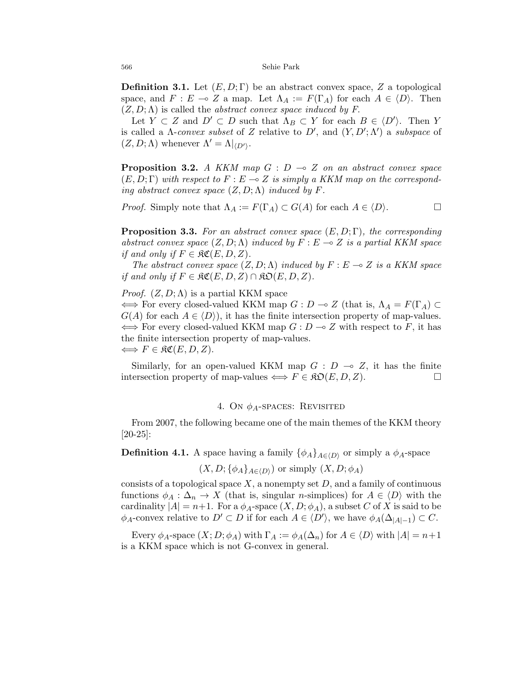**Definition 3.1.** Let  $(E, D; \Gamma)$  be an abstract convex space, Z a topological space, and  $F : E \multimap Z$  a map. Let  $\Lambda_A := F(\Gamma_A)$  for each  $A \in \langle D \rangle$ . Then  $(Z, D; \Lambda)$  is called the *abstract convex space induced by F*.

Let  $Y \subset Z$  and  $D' \subset D$  such that  $\Lambda_B \subset Y$  for each  $B \in \langle D' \rangle$ . Then Y is called a  $\Lambda$ -convex subset of Z relative to D', and  $(Y, D'; \Lambda')$  a subspace of  $(Z, D; \Lambda)$  whenever  $\Lambda' = \Lambda|_{\langle D' \rangle}$ .

**Proposition 3.2.** A KKM map  $G : D \multimap Z$  on an abstract convex space  $(E, D; \Gamma)$  with respect to  $F : E \multimap Z$  is simply a KKM map on the corresponding abstract convex space  $(Z, D; \Lambda)$  induced by F.

*Proof.* Simply note that  $\Lambda_A := F(\Gamma_A) \subset G(A)$  for each  $A \in \langle D \rangle$ .

**Proposition 3.3.** For an abstract convex space  $(E, D; \Gamma)$ , the corresponding abstract convex space  $(Z, D; \Lambda)$  induced by  $F : E \to Z$  is a partial KKM space if and only if  $F \in \mathfrak{RC}(E, D, Z)$ .

The abstract convex space  $(Z, D; \Lambda)$  induced by  $F : E \to Z$  is a KKM space if and only if  $F \in \mathfrak{RC}(E, D, Z) \cap \mathfrak{RO}(E, D, Z)$ .

*Proof.*  $(Z, D; \Lambda)$  is a partial KKM space

 $\iff$  For every closed-valued KKM map  $G: D \to Z$  (that is,  $\Lambda_A = F(\Gamma_A) \subset$  $G(A)$  for each  $A \in \langle D \rangle$ , it has the finite intersection property of map-values.  $\iff$  For every closed-valued KKM map  $G : D \to Z$  with respect to F, it has the finite intersection property of map-values.  $\Longleftrightarrow$   $F \in \mathfrak{RC}(E, D, Z).$ 

Similarly, for an open-valued KKM map  $G : D \multimap Z$ , it has the finite intersection property of map-values  $\iff$   $F \in \mathfrak{RO}(E, D, Z)$ .

### 4. On  $\phi_A$ -spaces: Revisited

From 2007, the following became one of the main themes of the KKM theory [20-25]:

**Definition 4.1.** A space having a family  $\{\phi_A\}_{A\in\{D\}}$  or simply a  $\phi_A$ -space

$$
(X, D; {\phi_A}_{A \in \langle D \rangle})
$$
 or simply  $(X, D; \phi_A)$ 

consists of a topological space  $X$ , a nonempty set  $D$ , and a family of continuous functions  $\phi_A : \Delta_n \to X$  (that is, singular *n*-simplices) for  $A \in \langle D \rangle$  with the cardinality  $|A| = n+1$ . For a  $\phi_A$ -space  $(X, D; \phi_A)$ , a subset C of X is said to be  $\phi_A$ -convex relative to  $D' \subset D$  if for each  $A \in \langle D' \rangle$ , we have  $\phi_A(\Delta_{|A|-1}) \subset C$ .

Every  $\phi_A$ -space  $(X; D; \phi_A)$  with  $\Gamma_A := \phi_A(\Delta_n)$  for  $A \in \langle D \rangle$  with  $|A| = n+1$ is a KKM space which is not G-convex in general.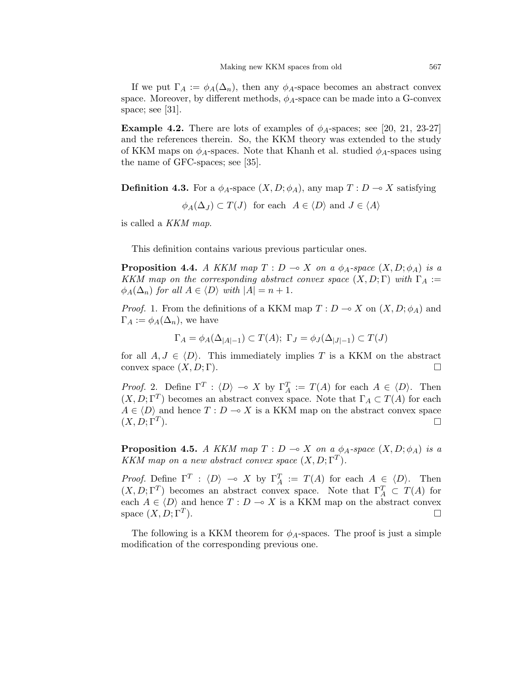If we put  $\Gamma_A := \phi_A(\Delta_n)$ , then any  $\phi_A$ -space becomes an abstract convex space. Moreover, by different methods,  $\phi_A$ -space can be made into a G-convex space; see [31].

**Example 4.2.** There are lots of examples of  $\phi_A$ -spaces; see [20, 21, 23-27] and the references therein. So, the KKM theory was extended to the study of KKM maps on  $\phi_A$ -spaces. Note that Khanh et al. studied  $\phi_A$ -spaces using the name of GFC-spaces; see [35].

**Definition 4.3.** For a  $\phi_A$ -space  $(X, D; \phi_A)$ , any map  $T : D \to X$  satisfying

 $\phi_A(\Delta_J) \subset T(J)$  for each  $A \in \langle D \rangle$  and  $J \in \langle A \rangle$ 

is called a KKM map.

This definition contains various previous particular ones.

**Proposition 4.4.** A KKM map  $T : D \multimap X$  on a  $\phi_A$ -space  $(X, D; \phi_A)$  is a KKM map on the corresponding abstract convex space  $(X, D; \Gamma)$  with  $\Gamma_A :=$  $\phi_A(\Delta_n)$  for all  $A \in \langle D \rangle$  with  $|A| = n + 1$ .

*Proof.* 1. From the definitions of a KKM map  $T: D \to X$  on  $(X, D; \phi_A)$  and  $\Gamma_A := \phi_A(\Delta_n)$ , we have

$$
\Gamma_A = \phi_A(\Delta_{|A|-1}) \subset T(A); \ \Gamma_J = \phi_J(\Delta_{|J|-1}) \subset T(J)
$$

for all  $A, J \in \langle D \rangle$ . This immediately implies T is a KKM on the abstract convex space  $(X, D; \Gamma)$ .

*Proof.* 2. Define  $\Gamma^T : \langle D \rangle \to X$  by  $\Gamma_A^T := T(A)$  for each  $A \in \langle D \rangle$ . Then  $(X, D; \Gamma^T)$  becomes an abstract convex space. Note that  $\Gamma_A \subset T(A)$  for each  $A \in \langle D \rangle$  and hence  $T : D \multimap X$  is a KKM map on the abstract convex space  $(X, D; \Gamma^T)$ .  $\Box$ 

**Proposition 4.5.** A KKM map  $T : D \to X$  on a  $\phi_A$ -space  $(X, D; \phi_A)$  is a KKM map on a new abstract convex space  $(X, D; \Gamma^T)$ .

*Proof.* Define  $\Gamma^T$  :  $\langle D \rangle \sim X$  by  $\Gamma_A^T := T(A)$  for each  $A \in \langle D \rangle$ . Then  $(X, D; \Gamma^T)$  becomes an abstract convex space. Note that  $\Gamma^T_A \subset T(A)$  for each  $A \in \langle D \rangle$  and hence  $T : D \multimap X$  is a KKM map on the abstract convex space  $(X, D; \Gamma^T)$ .  $\Box$ 

The following is a KKM theorem for  $\phi_A$ -spaces. The proof is just a simple modification of the corresponding previous one.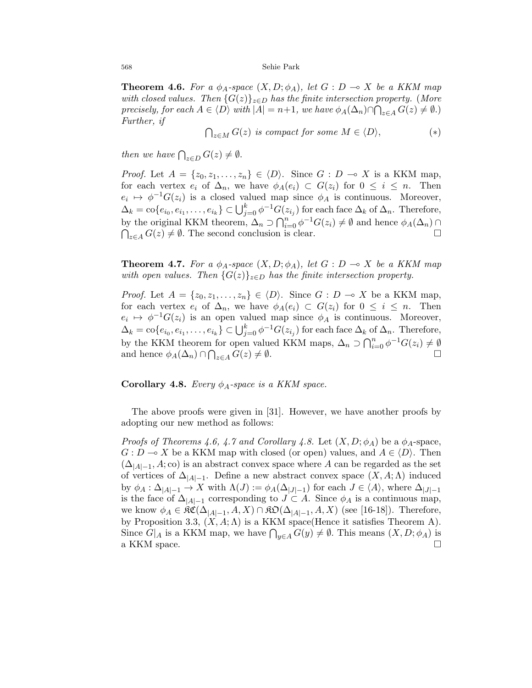**Theorem 4.6.** For a  $\phi_A$ -space  $(X, D; \phi_A)$ , let  $G : D \to X$  be a KKM map with closed values. Then  ${G(z)}_{z\in D}$  has the finite intersection property. (More precisely, for each  $A \in \langle D \rangle$  with  $|A| = n+1$ , we have  $\phi_A(\Delta_n) \cap \bigcap_{z \in A} G(z) \neq \emptyset$ .) Further, if

$$
\bigcap_{z \in M} G(z) \text{ is compact for some } M \in \langle D \rangle, \tag{*}
$$

then we have  $\bigcap_{z\in D} G(z)\neq \emptyset$ .

*Proof.* Let  $A = \{z_0, z_1, \ldots, z_n\} \in \langle D \rangle$ . Since  $G : D \multimap X$  is a KKM map, for each vertex  $e_i$  of  $\Delta_n$ , we have  $\phi_A(e_i) \subset G(z_i)$  for  $0 \leq i \leq n$ . Then  $e_i \mapsto \phi^{-1}G(z_i)$  is a closed valued map since  $\phi_A$  is continuous. Moreover,  $\Delta_k = \text{co}\{e_{i_0}, e_{i_1}, \dots, e_{i_k}\} \subset \bigcup_{j=0}^k \phi^{-1}G(z_{i_j})$  for each face  $\Delta_k$  of  $\Delta_n$ . Therefore, by the original KKM theorem,  $\Delta_n \supset \bigcap_{i=0}^{n} \phi^{-1}G(z_i) \neq \emptyset$  and hence  $\phi_A(\Delta_n) \cap$  $\bigcap_{z\in A} G(z) \neq \emptyset$ . The second conclusion is clear.

**Theorem 4.7.** For a  $\phi_A$ -space  $(X, D; \phi_A)$ , let  $G : D \to X$  be a KKM map with open values. Then  ${G(z)}_{z\in D}$  has the finite intersection property.

*Proof.* Let  $A = \{z_0, z_1, \ldots, z_n\} \in \langle D \rangle$ . Since  $G : D \to X$  be a KKM map, for each vertex  $e_i$  of  $\Delta_n$ , we have  $\phi_A(e_i) \subset G(z_i)$  for  $0 \leq i \leq n$ . Then  $e_i \mapsto \phi^{-1}G(z_i)$  is an open valued map since  $\phi_A$  is continuous. Moreover,  $\Delta_k = \text{co}\{e_{i_0}, e_{i_1}, \ldots, e_{i_k}\} \subset \bigcup_{j=0}^k \phi^{-1}G(z_{i_j})$  for each face  $\Delta_k$  of  $\Delta_n$ . Therefore, by the KKM theorem for open valued KKM maps,  $\Delta_n \supset \bigcap_{i=0}^n \phi^{-1}G(z_i) \neq \emptyset$ and hence  $\phi_A(\Delta_n) \cap \bigcap_{z \in A} G(z) \neq \emptyset$ .

**Corollary 4.8.** Every  $\phi_A$ -space is a KKM space.

The above proofs were given in [31]. However, we have another proofs by adopting our new method as follows:

*Proofs of Theorems 4.6, 4.7 and Corollary 4.8.* Let  $(X, D; \phi_A)$  be a  $\phi_A$ -space,  $G: D \longrightarrow X$  be a KKM map with closed (or open) values, and  $A \in \langle D \rangle$ . Then  $(\Delta_{|A|-1}, A; \text{co})$  is an abstract convex space where A can be regarded as the set of vertices of  $\Delta_{|A|-1}$ . Define a new abstract convex space  $(X, A; \Lambda)$  induced by  $\phi_A : \Delta_{|A|-1} \to X$  with  $\Lambda(J) := \phi_A(\Delta_{|J|-1})$  for each  $J \in \langle A \rangle$ , where  $\Delta_{|J|-1}$ is the face of  $\Delta_{|A|-1}$  corresponding to  $J \subset A$ . Since  $\phi_A$  is a continuous map, we know  $\phi_A \in \mathfrak{RC}(\Delta_{|A|-1}, A, X) \cap \mathfrak{RO}(\Delta_{|A|-1}, A, X)$  (see [16-18]). Therefore, by Proposition 3.3,  $(X, A; \Lambda)$  is a KKM space(Hence it satisfies Theorem A). Since  $G|_A$  is a KKM map, we have  $\bigcap_{y\in A} G(y) \neq \emptyset$ . This means  $(X, D; \phi_A)$  is a KKM space.  $\square$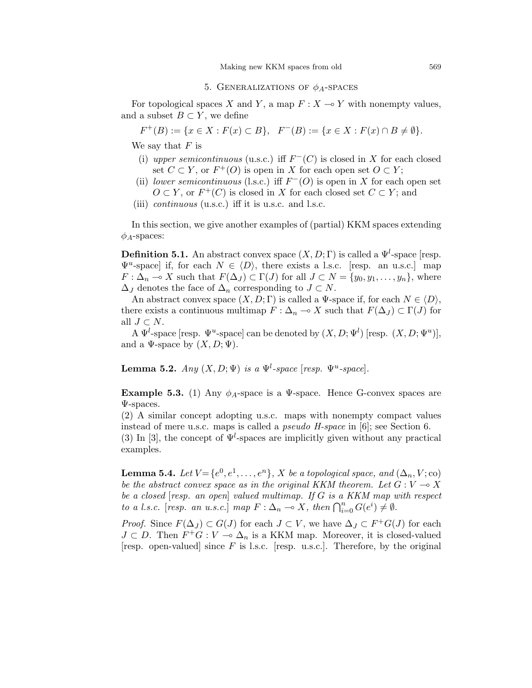### 5. GENERALIZATIONS OF  $\phi_A$ -SPACES

For topological spaces X and Y, a map  $F: X \to Y$  with nonempty values, and a subset  $B \subset Y$ , we define

$$
F^+(B) := \{ x \in X : F(x) \subset B \}, \quad F^-(B) := \{ x \in X : F(x) \cap B \neq \emptyset \}.
$$

We say that  $F$  is

- (i) upper semicontinuous (u.s.c.) iff  $F^{-}(C)$  is closed in X for each closed set  $C \subset Y$ , or  $F^+(O)$  is open in X for each open set  $O \subset Y$ ;
- (ii) lower semicontinuous (l.s.c.) iff  $F^{-}(O)$  is open in X for each open set  $O \subset Y$ , or  $F^+(C)$  is closed in X for each closed set  $C \subset Y$ ; and
- (iii) continuous (u.s.c.) iff it is u.s.c. and l.s.c.

In this section, we give another examples of (partial) KKM spaces extending  $\phi_A$ -spaces:

**Definition 5.1.** An abstract convex space  $(X, D; \Gamma)$  is called a  $\Psi^l$ -space [resp.  $\Psi^u$ -space] if, for each  $N \in \langle D \rangle$ , there exists a l.s.c. [resp. an u.s.c.] map  $F: \Delta_n \to X$  such that  $F(\Delta_J) \subset \Gamma(J)$  for all  $J \subset N = \{y_0, y_1, \ldots, y_n\}$ , where  $\Delta_J$  denotes the face of  $\Delta_n$  corresponding to  $J \subset N$ .

An abstract convex space  $(X, D; \Gamma)$  is called a  $\Psi$ -space if, for each  $N \in \langle D \rangle$ , there exists a continuous multimap  $F : \Delta_n \to X$  such that  $F(\Delta_J) \subset \Gamma(J)$  for all  $J \subset N$ .

A  $\Psi^l$ -space [resp.  $\Psi^u$ -space] can be denoted by  $(X, D; \Psi^l)$  [resp.  $(X, D; \Psi^u)$ ], and a  $\Psi$ -space by  $(X, D; \Psi)$ .

**Lemma 5.2.** Any  $(X, D; \Psi)$  is a  $\Psi^l$ -space [resp.  $\Psi^u$ -space].

**Example 5.3.** (1) Any  $\phi_A$ -space is a  $\Psi$ -space. Hence G-convex spaces are Ψ-spaces.

(2) A similar concept adopting u.s.c. maps with nonempty compact values instead of mere u.s.c. maps is called a pseudo H-space in [6]; see Section 6.

(3) In [3], the concept of  $\Psi^l$ -spaces are implicitly given without any practical examples.

**Lemma 5.4.** Let  $V = \{e^0, e^1, \ldots, e^n\}$ , X be a topological space, and  $(\Delta_n, V; \text{co})$ be the abstract convex space as in the original KKM theorem. Let  $G: V \rightarrow X$ be a closed [resp. an open] valued multimap. If G is a KKM map with respect to a l.s.c. [resp. an u.s.c.] map  $F : \Delta_n \multimap X$ , then  $\bigcap_{i=0}^n G(e^i) \neq \emptyset$ .

*Proof.* Since  $F(\Delta_J) \subset G(J)$  for each  $J \subset V$ , we have  $\Delta_J \subset F^+G(J)$  for each  $J \subset D$ . Then  $F^+G : V \to \Delta_n$  is a KKM map. Moreover, it is closed-valued [resp. open-valued] since  $F$  is l.s.c. [resp. u.s.c.]. Therefore, by the original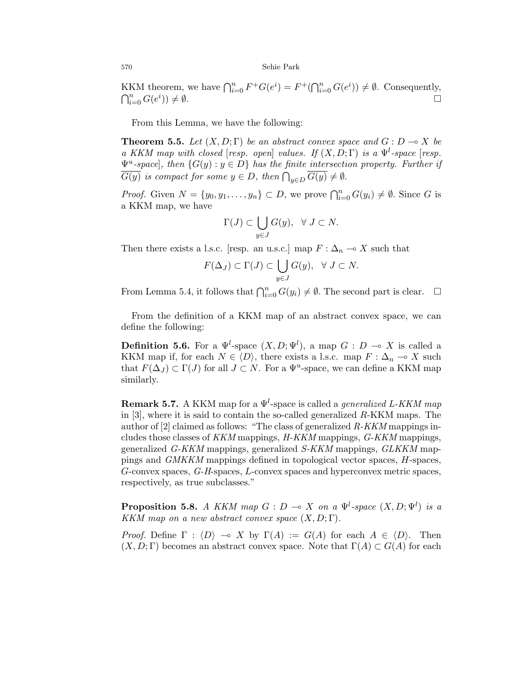KKM theorem, we have  $\bigcap_{i=0}^{n} F^+G(e^i) = F^+(\bigcap_{i=0}^{n} G(e^i)) \neq \emptyset$ . Consequently,  $\bigcap_{i=0}^n G(e^i)$  $)) \neq \emptyset.$ 

From this Lemma, we have the following:

**Theorem 5.5.** Let  $(X, D; \Gamma)$  be an abstract convex space and  $G: D \to X$  be a KKM map with closed [resp. open] values. If  $(X, D; \Gamma)$  is a  $\Psi^l$ -space [resp.  $\Psi^u$ -space, then  $\{G(y) : y \in D\}$  has the finite intersection property. Further if  $G(y)$  is compact for some  $y \in D$ , then  $\bigcap_{y \in D} G(y) \neq \emptyset$ .

*Proof.* Given  $N = \{y_0, y_1, \ldots, y_n\} \subset D$ , we prove  $\bigcap_{i=0}^n G(y_i) \neq \emptyset$ . Since G is a KKM map, we have

$$
\Gamma(J) \subset \bigcup_{y \in J} G(y), \ \ \forall \ J \subset N.
$$

Then there exists a l.s.c. [resp. an u.s.c.] map  $F : \Delta_n \to X$  such that

$$
F(\Delta_J) \subset \Gamma(J) \subset \bigcup_{y \in J} G(y), \ \ \forall \ J \subset N.
$$

From Lemma 5.4, it follows that  $\bigcap_{i=0}^n G(y_i) \neq \emptyset$ . The second part is clear.  $\Box$ 

From the definition of a KKM map of an abstract convex space, we can define the following:

**Definition 5.6.** For a  $\Psi^l$ -space  $(X, D; \Psi^l)$ , a map  $G: D \to X$  is called a KKM map if, for each  $N \in \langle D \rangle$ , there exists a l.s.c. map  $F : \Delta_n \multimap X$  such that  $F(\Delta_J) \subset \Gamma(J)$  for all  $J \subset N$ . For a  $\Psi^u$ -space, we can define a KKM map similarly.

**Remark 5.7.** A KKM map for a  $\Psi^l$ -space is called a *generalized L-KKM map* in [3], where it is said to contain the so-called generalized R-KKM maps. The author of  $[2]$  claimed as follows: "The class of generalized  $R$ -KKM mappings includes those classes of KKM mappings, H-KKM mappings, G-KKM mappings, generalized G-KKM mappings, generalized S-KKM mappings, GLKKM mappings and GMKKM mappings defined in topological vector spaces, H-spaces, G-convex spaces, G-H-spaces, L-convex spaces and hyperconvex metric spaces, respectively, as true subclasses."

**Proposition 5.8.** A KKM map  $G: D \to X$  on a  $\Psi^l$ -space  $(X, D; \Psi^l)$  is a KKM map on a new abstract convex space  $(X, D; \Gamma)$ .

Proof. Define  $\Gamma : \langle D \rangle \to X$  by  $\Gamma(A) := G(A)$  for each  $A \in \langle D \rangle$ . Then  $(X, D; \Gamma)$  becomes an abstract convex space. Note that  $\Gamma(A) \subset G(A)$  for each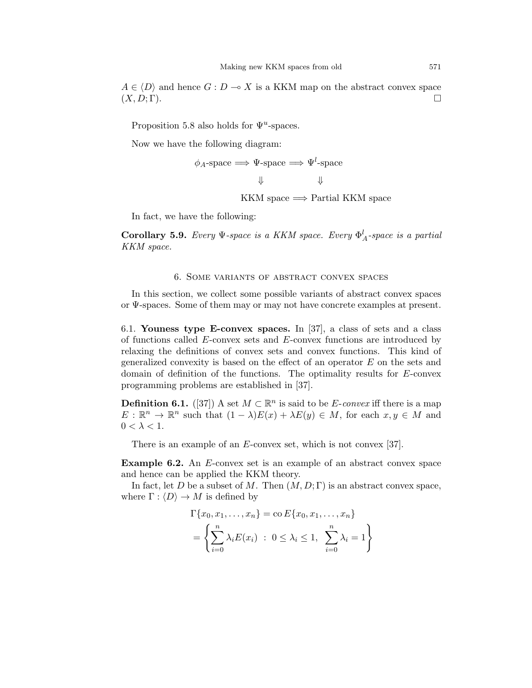$A \in \langle D \rangle$  and hence  $G : D \to X$  is a KKM map on the abstract convex space  $(X, D; \Gamma)$ .

Proposition 5.8 also holds for  $\Psi^u$ -spaces.

Now we have the following diagram:

$$
\phi_A\text{-space} \Longrightarrow \Psi\text{-space} \Longrightarrow \Psi^l\text{-space}
$$

KKM space  $\Longrightarrow$  Partial KKM space

In fact, we have the following:

**Corollary 5.9.** Every  $\Psi$ -space is a KKM space. Every  $\Phi^l_A$ -space is a partial KKM space.

#### 6. Some variants of abstract convex spaces

In this section, we collect some possible variants of abstract convex spaces or Ψ-spaces. Some of them may or may not have concrete examples at present.

6.1. Youness type E-convex spaces. In [37], a class of sets and a class of functions called E-convex sets and E-convex functions are introduced by relaxing the definitions of convex sets and convex functions. This kind of generalized convexity is based on the effect of an operator  $E$  on the sets and domain of definition of the functions. The optimality results for E-convex programming problems are established in [37].

**Definition 6.1.** ([37]) A set  $M \subset \mathbb{R}^n$  is said to be E-convex iff there is a map  $E: \mathbb{R}^n \to \mathbb{R}^n$  such that  $(1 - \lambda)E(x) + \lambda E(y) \in M$ , for each  $x, y \in M$  and  $0 < \lambda < 1$ .

There is an example of an E-convex set, which is not convex [37].

Example 6.2. An E-convex set is an example of an abstract convex space and hence can be applied the KKM theory.

In fact, let D be a subset of M. Then  $(M, D; \Gamma)$  is an abstract convex space, where  $\Gamma : \langle D \rangle \to M$  is defined by

$$
\Gamma\{x_0, x_1, \dots, x_n\} = \operatorname{co} E\{x_0, x_1, \dots, x_n\}
$$

$$
= \left\{\sum_{i=0}^n \lambda_i E(x_i) \; : \; 0 \le \lambda_i \le 1, \; \sum_{i=0}^n \lambda_i = 1\right\}
$$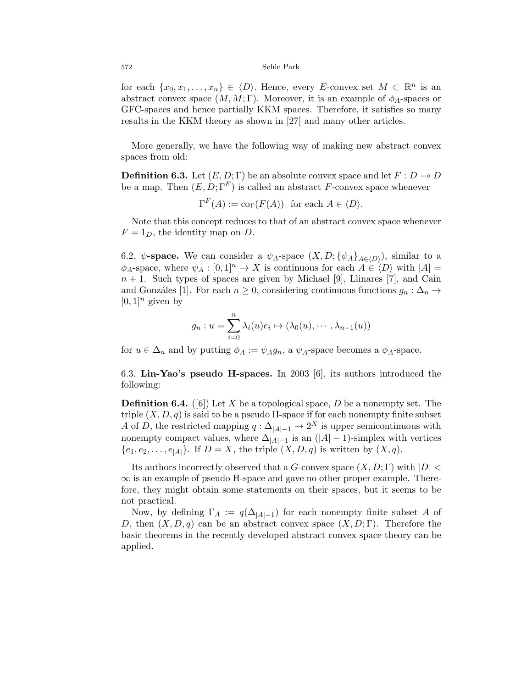for each  $\{x_0, x_1, \ldots, x_n\} \in \langle D \rangle$ . Hence, every E-convex set  $M \subset \mathbb{R}^n$  is an abstract convex space  $(M, M; \Gamma)$ . Moreover, it is an example of  $\phi_A$ -spaces or GFC-spaces and hence partially KKM spaces. Therefore, it satisfies so many results in the KKM theory as shown in [27] and many other articles.

More generally, we have the following way of making new abstract convex spaces from old:

**Definition 6.3.** Let  $(E, D; \Gamma)$  be an absolute convex space and let  $F: D \to D$ be a map. Then  $(E, D; \Gamma^F)$  is called an abstract F-convex space whenever

$$
\Gamma^F(A) := \text{co}_{\Gamma}(F(A)) \text{ for each } A \in \langle D \rangle.
$$

Note that this concept reduces to that of an abstract convex space whenever  $F = 1_D$ , the identity map on D.

6.2.  $\psi$ -space. We can consider a  $\psi_A$ -space  $(X, D; {\psi_A}_{A\in\langle D \rangle})$ , similar to a  $\phi_A$ -space, where  $\psi_A : [0,1]^n \to X$  is continuous for each  $A \in \langle D \rangle$  with  $|A| =$  $n + 1$ . Such types of spaces are given by Michael [9], Llinares [7], and Cain and Gonzáles [1]. For each  $n \geq 0$ , considering continuous functions  $g_n : \Delta_n \to$  $[0, 1]^n$  given by

$$
g_n: u = \sum_{i=0}^n \lambda_i(u)e_i \mapsto (\lambda_0(u), \cdots, \lambda_{n-1}(u))
$$

for  $u \in \Delta_n$  and by putting  $\phi_A := \psi_A g_n$ , a  $\psi_A$ -space becomes a  $\phi_A$ -space.

6.3. Lin-Yao's pseudo H-spaces. In 2003 [6], its authors introduced the following:

**Definition 6.4.** ([6]) Let X be a topological space, D be a nonempty set. The triple  $(X, D, q)$  is said to be a pseudo H-space if for each nonempty finite subset A of D, the restricted mapping  $q: \Delta_{|A|-1} \to 2^X$  is upper semicontinuous with nonempty compact values, where  $\Delta_{|A|-1}$  is an  $(|A|-1)$ -simplex with vertices  ${e_1, e_2, \ldots, e_{|A|}}.$  If  $D = X$ , the triple  $(X, D, q)$  is written by  $(X, q)$ .

Its authors incorrectly observed that a G-convex space  $(X, D; \Gamma)$  with  $|D|$  $\infty$  is an example of pseudo H-space and gave no other proper example. Therefore, they might obtain some statements on their spaces, but it seems to be not practical.

Now, by defining  $\Gamma_A := q(\Delta_{|A|-1})$  for each nonempty finite subset A of D, then  $(X, D, q)$  can be an abstract convex space  $(X, D; \Gamma)$ . Therefore the basic theorems in the recently developed abstract convex space theory can be applied.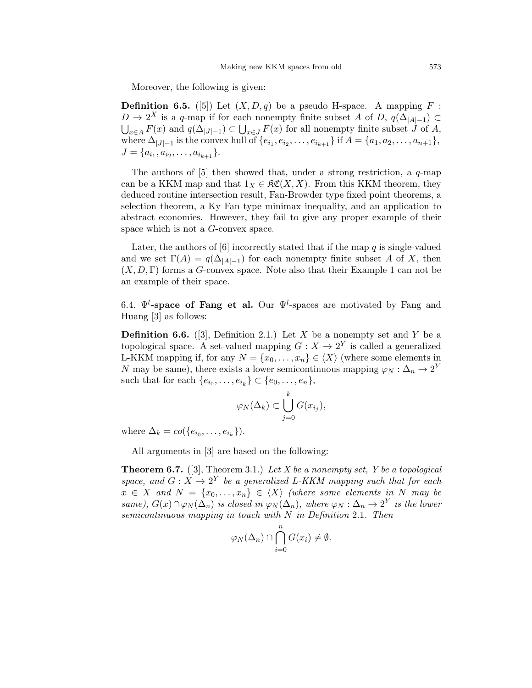Moreover, the following is given:

**Definition 6.5.** ([5]) Let  $(X, D, q)$  be a pseudo H-space. A mapping F:  $D \to 2^X$  is a q-map if for each nonempty finite subset A of D,  $q(\Delta_{|A|-1}) \subset$  $\bigcup_{x\in A} F(x)$  and  $q(\Delta_{|J|-1}) \subset \bigcup_{x\in J} F(x)$  for all nonempty finite subset J of A, where  $\Delta_{|J|-1}$  is the convex hull of  $\{e_{i_1}, e_{i_2}, \ldots, e_{i_{k+1}}\}$  if  $A = \{a_1, a_2, \ldots, a_{n+1}\},$  $J = \{a_{i_1}, a_{i_2}, \ldots, a_{i_{k+1}}\}.$ 

The authors of  $[5]$  then showed that, under a strong restriction, a q-map can be a KKM map and that  $1_X \in \mathfrak{RC}(X,X)$ . From this KKM theorem, they deduced routine intersection result, Fan-Browder type fixed point theorems, a selection theorem, a Ky Fan type minimax inequality, and an application to abstract economies. However, they fail to give any proper example of their space which is not a G-convex space.

Later, the authors of [6] incorrectly stated that if the map  $q$  is single-valued and we set  $\Gamma(A) = q(\Delta_{|A|-1})$  for each nonempty finite subset A of X, then  $(X, D, \Gamma)$  forms a G-convex space. Note also that their Example 1 can not be an example of their space.

6.4.  $\Psi^l$ -space of Fang et al. Our  $\Psi^l$ -spaces are motivated by Fang and Huang [3] as follows:

**Definition 6.6.** ([3], Definition 2.1.) Let X be a nonempty set and Y be a topological space. A set-valued mapping  $G: X \to 2^Y$  is called a generalized L-KKM mapping if, for any  $N = \{x_0, \ldots, x_n\} \in \langle X \rangle$  (where some elements in N may be same), there exists a lower semicontinuous mapping  $\varphi_N : \Delta_n \to 2^Y$ such that for each  $\{e_{i_0}, \ldots, e_{i_k}\} \subset \{e_0, \ldots, e_n\},\$ 

$$
\varphi_N(\Delta_k) \subset \bigcup_{j=0}^k G(x_{i_j}),
$$

where  $\Delta_k = co({e_{i_0}, \ldots, e_{i_k}}).$ 

All arguments in [3] are based on the following:

**Theorem 6.7.** ([3], Theorem 3.1.) Let X be a nonempty set, Y be a topological space, and  $G: X \to 2^Y$  be a generalized L-KKM mapping such that for each  $x \in X$  and  $N = \{x_0, \ldots, x_n\} \in \langle X \rangle$  (where some elements in N may be same),  $G(x) \cap \varphi_N(\Delta_n)$  is closed in  $\varphi_N(\Delta_n)$ , where  $\varphi_N : \Delta_n \to 2^Y$  is the lower semicontinuous mapping in touch with  $N$  in Definition 2.1. Then

$$
\varphi_N(\Delta_n) \cap \bigcap_{i=0}^n G(x_i) \neq \emptyset.
$$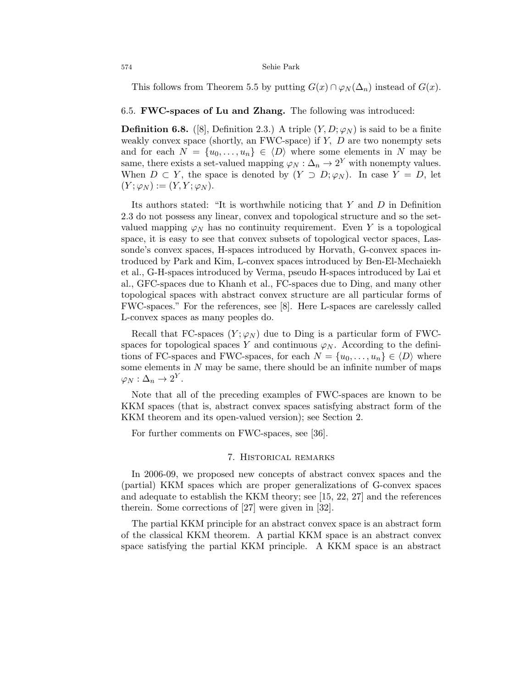This follows from Theorem 5.5 by putting  $G(x) \cap \varphi_N(\Delta_n)$  instead of  $G(x)$ .

## 6.5. FWC-spaces of Lu and Zhang. The following was introduced:

**Definition 6.8.** ([8], Definition 2.3.) A triple  $(Y, D; \varphi_N)$  is said to be a finite weakly convex space (shortly, an FWC-space) if  $Y$ ,  $D$  are two nonempty sets and for each  $N = \{u_0, \ldots, u_n\} \in \langle D \rangle$  where some elements in N may be same, there exists a set-valued mapping  $\varphi_N : \Delta_n \to 2^Y$  with nonempty values. When  $D \subset Y$ , the space is denoted by  $(Y \supset D; \varphi_N)$ . In case  $Y = D$ , let  $(Y; \varphi_N) := (Y, Y; \varphi_N).$ 

Its authors stated: "It is worthwhile noticing that  $Y$  and  $D$  in Definition 2.3 do not possess any linear, convex and topological structure and so the setvalued mapping  $\varphi_N$  has no continuity requirement. Even Y is a topological space, it is easy to see that convex subsets of topological vector spaces, Lassonde's convex spaces, H-spaces introduced by Horvath, G-convex spaces introduced by Park and Kim, L-convex spaces introduced by Ben-El-Mechaiekh et al., G-H-spaces introduced by Verma, pseudo H-spaces introduced by Lai et al., GFC-spaces due to Khanh et al., FC-spaces due to Ding, and many other topological spaces with abstract convex structure are all particular forms of FWC-spaces." For the references, see [8]. Here L-spaces are carelessly called L-convex spaces as many peoples do.

Recall that FC-spaces  $(Y; \varphi_N)$  due to Ding is a particular form of FWCspaces for topological spaces Y and continuous  $\varphi_N$ . According to the definitions of FC-spaces and FWC-spaces, for each  $N = \{u_0, \ldots, u_n\} \in \langle D \rangle$  where some elements in  $N$  may be same, there should be an infinite number of maps  $\varphi_N:\Delta_n\to 2^Y.$ 

Note that all of the preceding examples of FWC-spaces are known to be KKM spaces (that is, abstract convex spaces satisfying abstract form of the KKM theorem and its open-valued version); see Section 2.

For further comments on FWC-spaces, see [36].

### 7. Historical remarks

In 2006-09, we proposed new concepts of abstract convex spaces and the (partial) KKM spaces which are proper generalizations of G-convex spaces and adequate to establish the KKM theory; see [15, 22, 27] and the references therein. Some corrections of [27] were given in [32].

The partial KKM principle for an abstract convex space is an abstract form of the classical KKM theorem. A partial KKM space is an abstract convex space satisfying the partial KKM principle. A KKM space is an abstract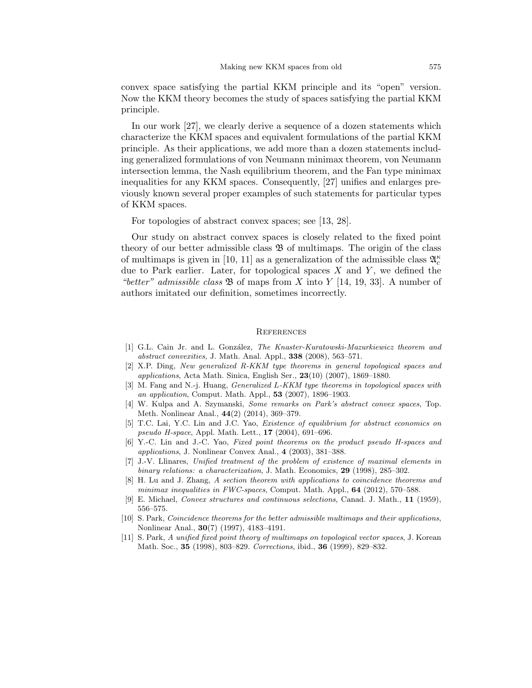convex space satisfying the partial KKM principle and its "open" version. Now the KKM theory becomes the study of spaces satisfying the partial KKM principle.

In our work [27], we clearly derive a sequence of a dozen statements which characterize the KKM spaces and equivalent formulations of the partial KKM principle. As their applications, we add more than a dozen statements including generalized formulations of von Neumann minimax theorem, von Neumann intersection lemma, the Nash equilibrium theorem, and the Fan type minimax inequalities for any KKM spaces. Consequently, [27] unifies and enlarges previously known several proper examples of such statements for particular types of KKM spaces.

For topologies of abstract convex spaces; see [13, 28].

Our study on abstract convex spaces is closely related to the fixed point theory of our better admissible class  $\mathfrak B$  of multimaps. The origin of the class of multimaps is given in [10, 11] as a generalization of the admissible class  $\mathfrak{A}_c^{\kappa}$ due to Park earlier. Later, for topological spaces  $X$  and  $Y$ , we defined the "better" admissible class  $\mathfrak{B}$  of maps from X into Y [14, 19, 33]. A number of authors imitated our definition, sometimes incorrectly.

#### **REFERENCES**

- [1] G.L. Cain Jr. and L. González, The Knaster-Kuratowski-Mazurkiewicz theorem and abstract convexities, J. Math. Anal. Appl., 338 (2008), 563–571.
- [2] X.P. Ding, New generalized R-KKM type theorems in general topological spaces and applications, Acta Math. Sinica, English Ser.,  $23(10)$  (2007), 1869–1880.
- [3] M. Fang and N.-j. Huang, Generalized L-KKM type theorems in topological spaces with an application, Comput. Math. Appl., 53 (2007), 1896–1903.
- [4] W. Kulpa and A. Szymanski, Some remarks on Park's abstract convex spaces, Top. Meth. Nonlinear Anal., 44(2) (2014), 369–379.
- [5] T.C. Lai, Y.C. Lin and J.C. Yao, Existence of equilibrium for abstract economics on pseudo H-space, Appl. Math. Lett., 17 (2004), 691–696.
- [6] Y.-C. Lin and J.-C. Yao, Fixed point theorems on the product pseudo H-spaces and applications, J. Nonlinear Convex Anal., 4 (2003), 381–388.
- [7] J.-V. Llinares, Unified treatment of the problem of existence of maximal elements in binary relations: a characterization, J. Math. Economics, 29 (1998), 285-302.
- [8] H. Lu and J. Zhang, A section theorem with applications to coincidence theorems and minimax inequalities in FWC-spaces, Comput. Math. Appl.,  $64$  (2012), 570–588.
- [9] E. Michael, Convex structures and continuous selections, Canad. J. Math., 11 (1959), 556–575.
- [10] S. Park, Coincidence theorems for the better admissible multimaps and their applications, Nonlinear Anal., 30(7) (1997), 4183–4191.
- [11] S. Park, A unified fixed point theory of multimaps on topological vector spaces, J. Korean Math. Soc., **35** (1998), 803–829. Corrections, ibid., **36** (1999), 829–832.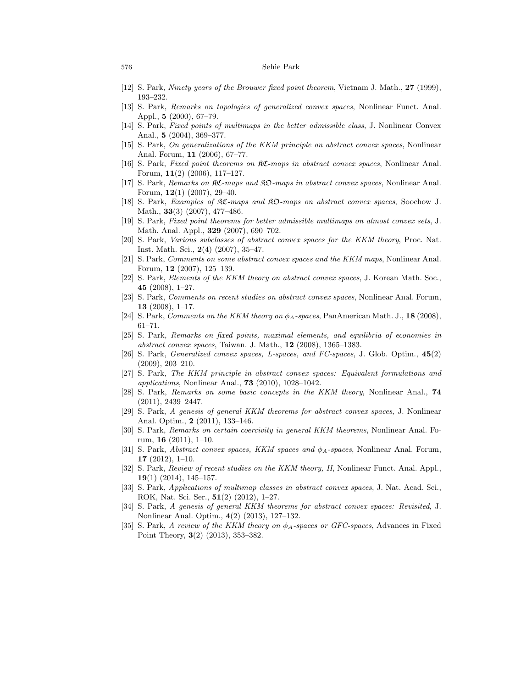- [12] S. Park, Ninety years of the Brouwer fixed point theorem, Vietnam J. Math., 27 (1999), 193–232.
- [13] S. Park, Remarks on topologies of generalized convex spaces, Nonlinear Funct. Anal. Appl., 5 (2000), 67–79.
- [14] S. Park, Fixed points of multimaps in the better admissible class, J. Nonlinear Convex Anal., 5 (2004), 369–377.
- [15] S. Park, On generalizations of the KKM principle on abstract convex spaces, Nonlinear Anal. Forum, 11 (2006), 67–77.
- [16] S. Park, Fixed point theorems on  $\Re\mathfrak{C}$ -maps in abstract convex spaces, Nonlinear Anal. Forum, 11(2) (2006), 117–127.
- [17] S. Park, Remarks on KC-maps and KO-maps in abstract convex spaces, Nonlinear Anal. Forum, 12(1) (2007), 29–40.
- [18] S. Park, Examples of KC-maps and KO-maps on abstract convex spaces, Soochow J. Math., 33(3) (2007), 477–486.
- [19] S. Park, Fixed point theorems for better admissible multimaps on almost convex sets, J. Math. Anal. Appl., 329 (2007), 690–702.
- [20] S. Park, Various subclasses of abstract convex spaces for the KKM theory, Proc. Nat. Inst. Math. Sci., 2(4) (2007), 35–47.
- [21] S. Park, Comments on some abstract convex spaces and the KKM maps, Nonlinear Anal. Forum, 12 (2007), 125–139.
- [22] S. Park, Elements of the KKM theory on abstract convex spaces, J. Korean Math. Soc., 45 (2008), 1–27.
- [23] S. Park, Comments on recent studies on abstract convex spaces, Nonlinear Anal. Forum, 13  $(2008)$ , 1–17.
- [24] S. Park, Comments on the KKM theory on  $\phi_A$ -spaces, PanAmerican Math. J., 18 (2008), 61–71.
- [25] S. Park, Remarks on fixed points, maximal elements, and equilibria of economies in abstract convex spaces, Taiwan. J. Math., 12 (2008), 1365–1383.
- [26] S. Park, Generalized convex spaces, L-spaces, and FC-spaces, J. Glob. Optim., 45(2) (2009), 203–210.
- [27] S. Park, The KKM principle in abstract convex spaces: Equivalent formulations and applications, Nonlinear Anal., 73 (2010), 1028–1042.
- [28] S. Park, Remarks on some basic concepts in the KKM theory, Nonlinear Anal., 74 (2011), 2439–2447.
- [29] S. Park, A genesis of general KKM theorems for abstract convex spaces, J. Nonlinear Anal. Optim., 2 (2011), 133–146.
- [30] S. Park, Remarks on certain coercivity in general KKM theorems, Nonlinear Anal. Forum, 16 (2011), 1–10.
- [31] S. Park, Abstract convex spaces, KKM spaces and  $\phi_A$ -spaces, Nonlinear Anal. Forum, 17 (2012), 1–10.
- [32] S. Park, Review of recent studies on the KKM theory, II, Nonlinear Funct. Anal. Appl., 19(1) (2014), 145–157.
- [33] S. Park, Applications of multimap classes in abstract convex spaces, J. Nat. Acad. Sci., ROK, Nat. Sci. Ser., 51(2) (2012), 1–27.
- [34] S. Park, A genesis of general KKM theorems for abstract convex spaces: Revisited, J. Nonlinear Anal. Optim., 4(2) (2013), 127–132.
- [35] S. Park, A review of the KKM theory on  $\phi_A$ -spaces or GFC-spaces, Advances in Fixed Point Theory, 3(2) (2013), 353–382.